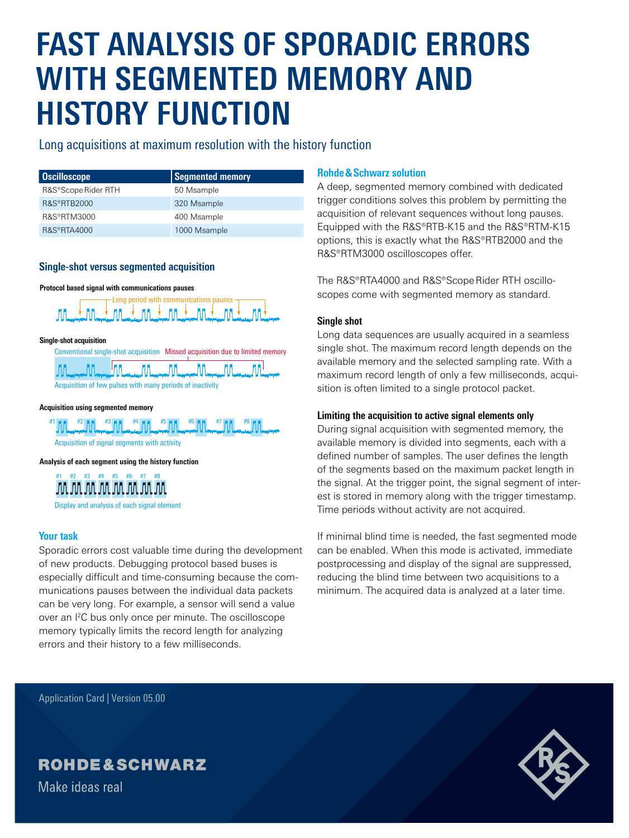# **FAST ANALYSIS OF SPORADIC ERRORS WITH SEGMENTED MEMORY AND HISTORY FUNCTION**

### Long acquisitions at maximum resolution with the history function

| Oscilloscope           | Segmented memory |
|------------------------|------------------|
| R&S®Scope Rider RTH    | 50 Msample       |
| R&S®RTB2000            | 320 Msample      |
| R&S®RTM3000            | 400 Msample      |
| <b>R&amp;S®RTA4000</b> | 1000 Msample     |

#### **Single-shot versus segmented acquisition**





**Single-shot acquisition**

Conventional single-shot acquisition Missed acquisition due to limited memory



#### **Acquisition using segmented memory**



Acquisition of signal segments with activity

**Analysis of each segment using the history function**



Display and analysis of each signal element

#### **Your task**

Sporadic errors cost valuable time during the development of new products. Debugging protocol based buses is especially difficult and time-consuming because the communications pauses between the individual data packets can be very long. For example, a sensor will send a value over an I<sup>2</sup>C bus only once per minute. The oscilloscope memory typically limits the record length for analyzing errors and their history to a few milliseconds.

#### **Rohde&Schwarz solution**

A deep, segmented memory combined with dedicated trigger conditions solves this problem by permitting the acquisition of relevant sequences without long pauses. Equipped with the R&S®RTB-K15 and the R&S®RTM-K15 options, this is exactly what the R&S®RTB2000 and the R&S®RTM3000 oscilloscopes offer.

The R&S®RTA4000 and R&S®Scope Rider RTH oscilloscopes come with segmented memory as standard.

#### **Single shot**

Long data sequences are usually acquired in a seamless single shot. The maximum record length depends on the available memory and the selected sampling rate. With a maximum record length of only a few milliseconds, acquisition is often limited to a single protocol packet.

#### **Limiting the acquisition to active signal elements only**

During signal acquisition with segmented memory, the available memory is divided into segments, each with a defined number of samples. The user defines the length of the segments based on the maximum packet length in the signal. At the trigger point, the signal segment of interest is stored in memory along with the trigger timestamp. Time periods without activity are not acquired.

If minimal blind time is needed, the fast segmented mode can be enabled. When this mode is activated, immediate postprocessing and display of the signal are suppressed, reducing the blind time between two acquisitions to a minimum. The acquired data is analyzed at a later time.

Application Card | Version 05.00

## **ROHDE&SCHWARZ**

Make ideas real